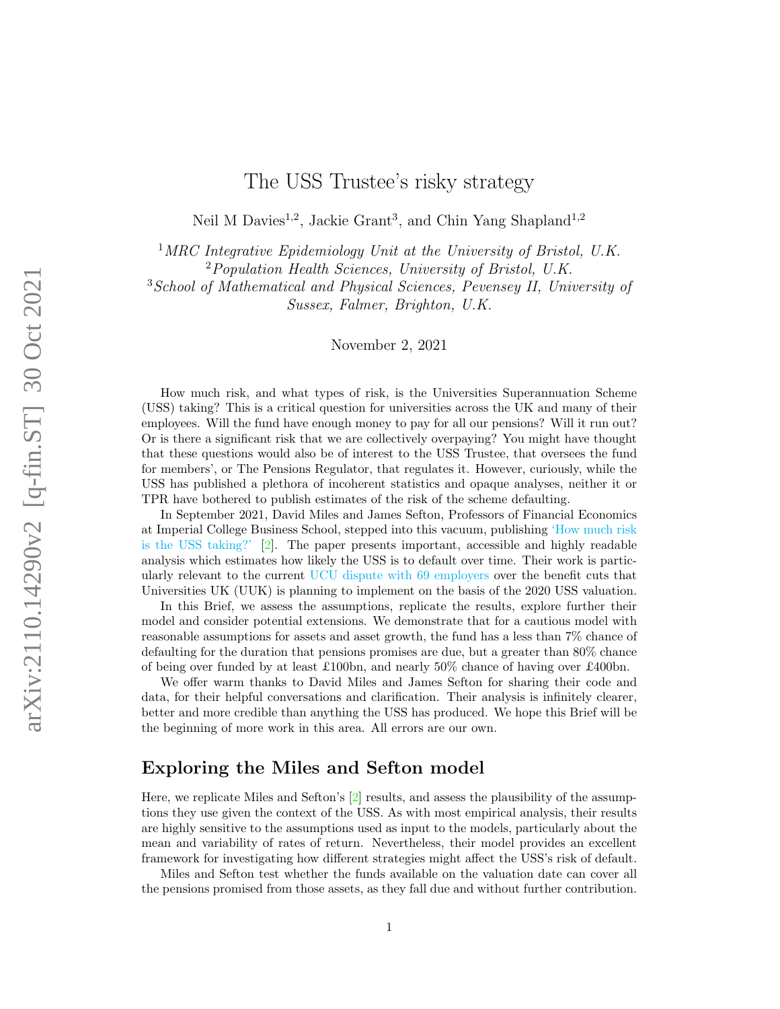# The USS Trustee's risky strategy

Neil M Davies<sup>1,2</sup>, Jackie Grant<sup>3</sup>, and Chin Yang Shapland<sup>1,2</sup>

<sup>1</sup>MRC Integrative Epidemiology Unit at the University of Bristol, U.K.

<sup>2</sup>Population Health Sciences, University of Bristol, U.K.

<sup>3</sup>School of Mathematical and Physical Sciences, Pevensey II, University of Sussex, Falmer, Brighton, U.K.

November 2, 2021

How much risk, and what types of risk, is the Universities Superannuation Scheme (USS) taking? This is a critical question for universities across the UK and many of their employees. Will the fund have enough money to pay for all our pensions? Will it run out? Or is there a significant risk that we are collectively overpaying? You might have thought that these questions would also be of interest to the USS Trustee, that oversees the fund for members', or The Pensions Regulator, that regulates it. However, curiously, while the USS has published a plethora of incoherent statistics and opaque analyses, neither it or TPR have bothered to publish estimates of the risk of the scheme defaulting.

In September 2021, David Miles and James Sefton, Professors of Financial Economics at Imperial College Business School, stepped into this vacuum, publishing ['How much risk](https://www.niesr.ac.uk/sites/default/files/publications/NIESR%20Policy%20Paper%20029_0.pdf) [is the USS taking?'](https://www.niesr.ac.uk/sites/default/files/publications/NIESR%20Policy%20Paper%20029_0.pdf) [\[2\]](#page-9-0). The paper presents important, accessible and highly readable analysis which estimates how likely the USS is to default over time. Their work is particularly relevant to the current [UCU dispute with 69 employers](https://www.ucu.org.uk/article/11767/UCU-higher-education-ballot-timetable-for-action) over the benefit cuts that Universities UK (UUK) is planning to implement on the basis of the 2020 USS valuation.

In this Brief, we assess the assumptions, replicate the results, explore further their model and consider potential extensions. We demonstrate that for a cautious model with reasonable assumptions for assets and asset growth, the fund has a less than 7% chance of defaulting for the duration that pensions promises are due, but a greater than 80% chance of being over funded by at least £100bn, and nearly 50% chance of having over £400bn.

We offer warm thanks to David Miles and James Sefton for sharing their code and data, for their helpful conversations and clarification. Their analysis is infinitely clearer, better and more credible than anything the USS has produced. We hope this Brief will be the beginning of more work in this area. All errors are our own.

# Exploring the Miles and Sefton model

Here, we replicate Miles and Sefton's  $[2]$  results, and assess the plausibility of the assumptions they use given the context of the USS. As with most empirical analysis, their results are highly sensitive to the assumptions used as input to the models, particularly about the mean and variability of rates of return. Nevertheless, their model provides an excellent framework for investigating how different strategies might affect the USS's risk of default.

Miles and Sefton test whether the funds available on the valuation date can cover all the pensions promised from those assets, as they fall due and without further contribution.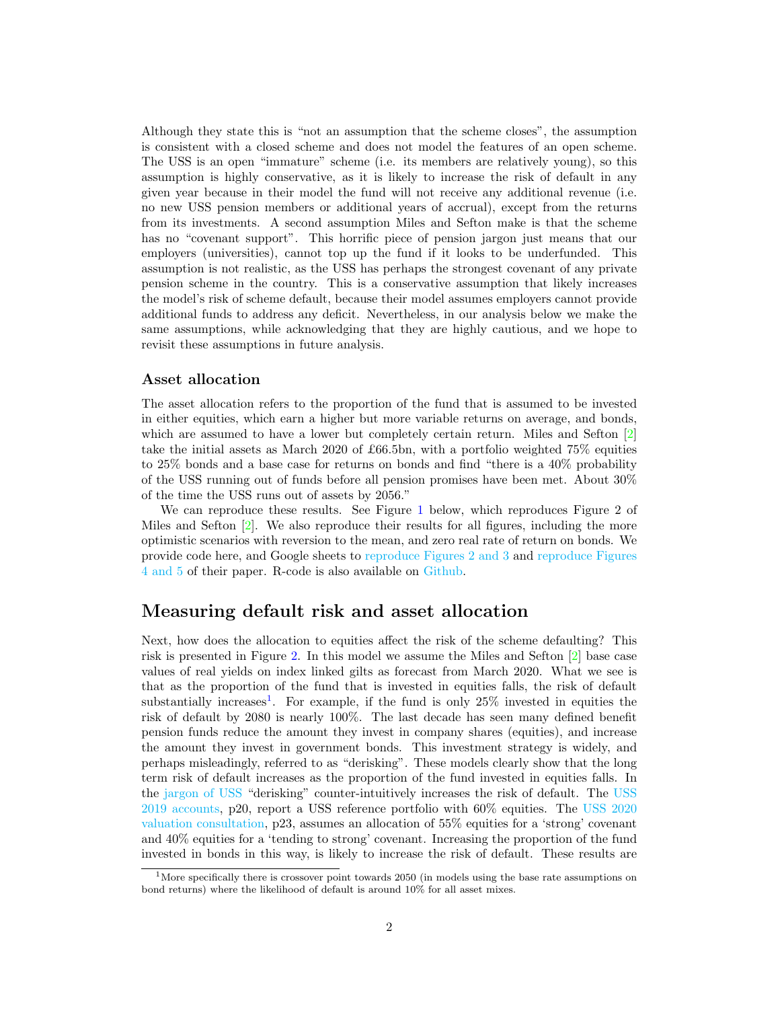Although they state this is "not an assumption that the scheme closes", the assumption is consistent with a closed scheme and does not model the features of an open scheme. The USS is an open "immature" scheme (i.e. its members are relatively young), so this assumption is highly conservative, as it is likely to increase the risk of default in any given year because in their model the fund will not receive any additional revenue (i.e. no new USS pension members or additional years of accrual), except from the returns from its investments. A second assumption Miles and Sefton make is that the scheme has no "covenant support". This horrific piece of pension jargon just means that our employers (universities), cannot top up the fund if it looks to be underfunded. This assumption is not realistic, as the USS has perhaps the strongest covenant of any private pension scheme in the country. This is a conservative assumption that likely increases the model's risk of scheme default, because their model assumes employers cannot provide additional funds to address any deficit. Nevertheless, in our analysis below we make the same assumptions, while acknowledging that they are highly cautious, and we hope to revisit these assumptions in future analysis.

#### Asset allocation

The asset allocation refers to the proportion of the fund that is assumed to be invested in either equities, which earn a higher but more variable returns on average, and bonds, which are assumed to have a lower but completely certain return. Miles and Sefton [\[2\]](#page-9-0) take the initial assets as March 2020 of £66.5bn, with a portfolio weighted 75% equities to 25% bonds and a base case for returns on bonds and find "there is a 40% probability of the USS running out of funds before all pension promises have been met. About 30% of the time the USS runs out of assets by 2056."

We can reproduce these results. See Figure [1](#page-2-0) below, which reproduces Figure 2 of Miles and Sefton [\[2\]](#page-9-0). We also reproduce their results for all figures, including the more optimistic scenarios with reversion to the mean, and zero real rate of return on bonds. We provide code here, and Google sheets to [reproduce Figures 2 and 3](https://docs.google.com/spreadsheets/d/1cKNVyYVEjiQrFOKg2GYckHF-kDPqrW3WU3z8QKQ85wI/edit?usp=sharing) and [reproduce Figures](https://docs.google.com/spreadsheets/d/1IgpQwr7Zjiip_Mi8H_GWea5PpfbWIQT7ruQB500mZsg/edit?usp=sharing) [4 and 5](https://docs.google.com/spreadsheets/d/1IgpQwr7Zjiip_Mi8H_GWea5PpfbWIQT7ruQB500mZsg/edit?usp=sharing) of their paper. R-code is also available on [Github.](https://github.com/CYShapland/USSBriefs2021)

# Measuring default risk and asset allocation

Next, how does the allocation to equities affect the risk of the scheme defaulting? This risk is presented in Figure [2.](#page-3-0) In this model we assume the Miles and Sefton [\[2\]](#page-9-0) base case values of real yields on index linked gilts as forecast from March 2020. What we see is that as the proportion of the fund that is invested in equities falls, the risk of default substantially increases<sup>[1](#page-1-0)</sup>. For example, if the fund is only  $25\%$  invested in equities the risk of default by 2080 is nearly 100%. The last decade has seen many defined benefit pension funds reduce the amount they invest in company shares (equities), and increase the amount they invest in government bonds. This investment strategy is widely, and perhaps misleadingly, referred to as "derisking". These models clearly show that the long term risk of default increases as the proportion of the fund invested in equities falls. In the [jargon of USS](https://en.wikipedia.org/wiki/Nineteen_Eighty-Four) "derisking" counter-intuitively increases the risk of default. The [USS](https://www.uss.co.uk/about-us/report-and-accounts?search=0333c9f4-f43d-4a05-ab73-130b6644c1e1) [2019 accounts,](https://www.uss.co.uk/about-us/report-and-accounts?search=0333c9f4-f43d-4a05-ab73-130b6644c1e1) p20, report a USS reference portfolio with 60% equities. The [USS 2020](https://www.uss.co.uk/-/media/project/ussmainsite/files/about-us/valuations_yearly/2020-valuation/uss-technical-provisions-consultation-2020-valuation.pdf?rev=89e3e8d0fbb344bf8d9609f6d0eb412e&hash=484A87C8F8D8719BF0AA864D7CC1A3D4) [valuation consultation,](https://www.uss.co.uk/-/media/project/ussmainsite/files/about-us/valuations_yearly/2020-valuation/uss-technical-provisions-consultation-2020-valuation.pdf?rev=89e3e8d0fbb344bf8d9609f6d0eb412e&hash=484A87C8F8D8719BF0AA864D7CC1A3D4) p23, assumes an allocation of 55% equities for a 'strong' covenant and 40% equities for a 'tending to strong' covenant. Increasing the proportion of the fund invested in bonds in this way, is likely to increase the risk of default. These results are

<span id="page-1-0"></span><sup>&</sup>lt;sup>1</sup>More specifically there is crossover point towards 2050 (in models using the base rate assumptions on bond returns) where the likelihood of default is around 10% for all asset mixes.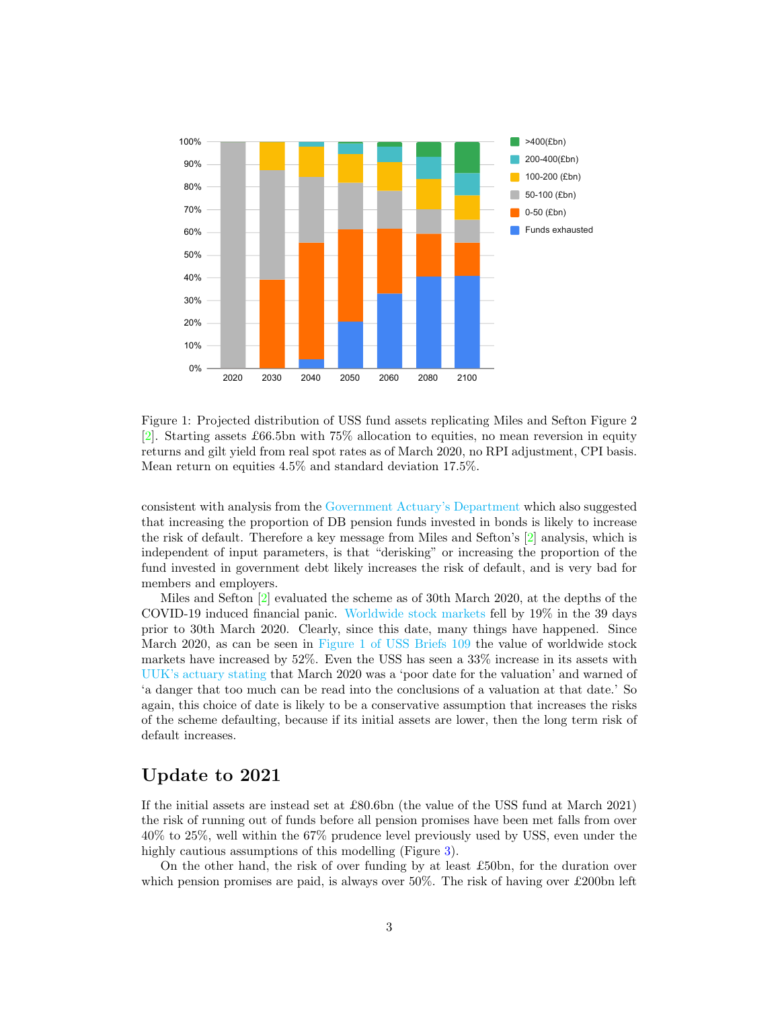

<span id="page-2-0"></span>Figure 1: Projected distribution of USS fund assets replicating Miles and Sefton Figure 2 [\[2\]](#page-9-0). Starting assets £66.5bn with 75% allocation to equities, no mean reversion in equity returns and gilt yield from real spot rates as of March 2020, no RPI adjustment, CPI basis. Mean return on equities 4.5% and standard deviation 17.5%.

consistent with analysis from the [Government Actuary's Department](https://www.thepensionsregulator.gov.uk/-/media/thepensionsregulator/files/import/pdf/modelling-long-term-funding-objective.ashx) which also suggested that increasing the proportion of DB pension funds invested in bonds is likely to increase the risk of default. Therefore a key message from Miles and Sefton's [\[2\]](#page-9-0) analysis, which is independent of input parameters, is that "derisking" or increasing the proportion of the fund invested in government debt likely increases the risk of default, and is very bad for members and employers.

Miles and Sefton [\[2\]](#page-9-0) evaluated the scheme as of 30th March 2020, at the depths of the COVID-19 induced financial panic. [Worldwide stock markets](https://medium.com/ussbriefs/the-case-for-a-credible-evidence-based-2021-uss-valuation-d5e8c536350c) fell by 19% in the 39 days prior to 30th March 2020. Clearly, since this date, many things have happened. Since March 2020, as can be seen in [Figure 1 of USS Briefs 109](https://medium.com/ussbriefs/the-case-for-a-credible-evidence-based-2021-uss-valuation-d5e8c536350c) the value of worldwide stock markets have increased by 52%. Even the USS has seen a 33% increase in its assets with [UUK's actuary stating](http://www.ussemployers.org.uk/sites/default/files/field/attachemnt/USS%2031%20March%202020%20valuation%20-%20Aon%20report%209April2021.pdf) that March 2020 was a 'poor date for the valuation' and warned of 'a danger that too much can be read into the conclusions of a valuation at that date.' So again, this choice of date is likely to be a conservative assumption that increases the risks of the scheme defaulting, because if its initial assets are lower, then the long term risk of default increases.

# Update to 2021

If the initial assets are instead set at £80.6bn (the value of the USS fund at March 2021) the risk of running out of funds before all pension promises have been met falls from over 40% to 25%, well within the 67% prudence level previously used by USS, even under the highly cautious assumptions of this modelling (Figure [3\)](#page-4-0).

On the other hand, the risk of over funding by at least £50bn, for the duration over which pension promises are paid, is always over 50%. The risk of having over £200bn left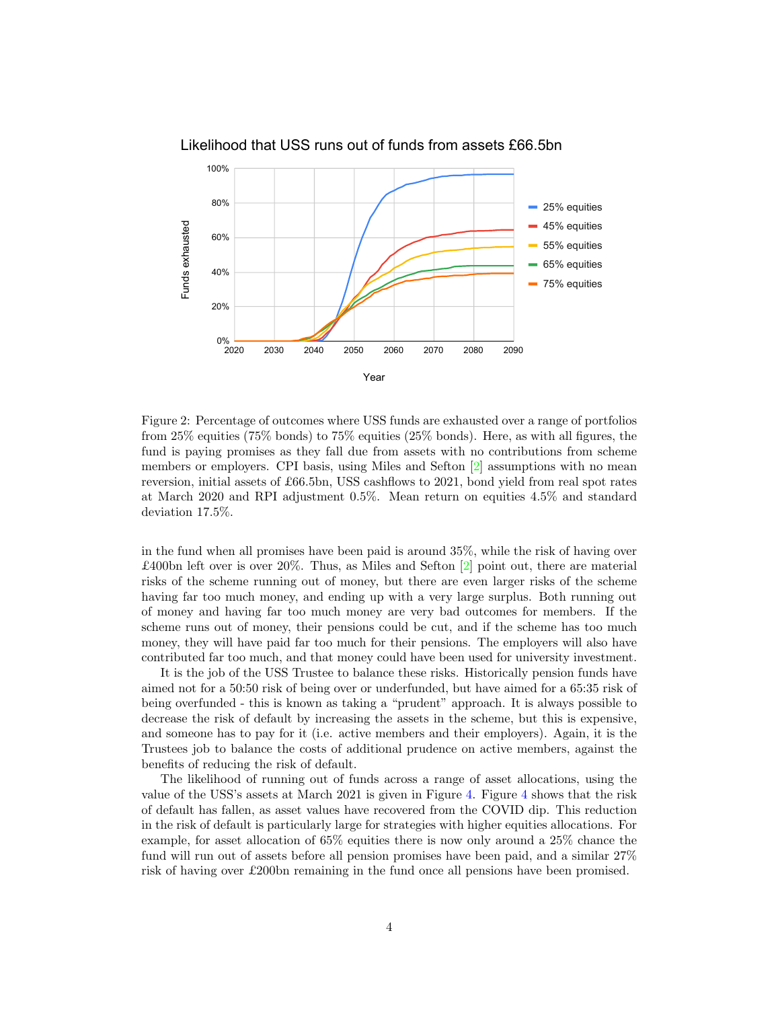

Likelihood that USS runs out of funds from assets £66.5bn

<span id="page-3-0"></span>Figure 2: Percentage of outcomes where USS funds are exhausted over a range of portfolios from 25% equities (75% bonds) to 75% equities (25% bonds). Here, as with all figures, the fund is paying promises as they fall due from assets with no contributions from scheme members or employers. CPI basis, using Miles and Sefton  $[2]$  assumptions with no mean reversion, initial assets of £66.5bn, USS cashflows to 2021, bond yield from real spot rates at March 2020 and RPI adjustment 0.5%. Mean return on equities 4.5% and standard deviation 17.5%.

in the fund when all promises have been paid is around 35%, while the risk of having over £400bn left over is over 20%. Thus, as Miles and Sefton [\[2\]](#page-9-0) point out, there are material risks of the scheme running out of money, but there are even larger risks of the scheme having far too much money, and ending up with a very large surplus. Both running out of money and having far too much money are very bad outcomes for members. If the scheme runs out of money, their pensions could be cut, and if the scheme has too much money, they will have paid far too much for their pensions. The employers will also have contributed far too much, and that money could have been used for university investment.

It is the job of the USS Trustee to balance these risks. Historically pension funds have aimed not for a 50:50 risk of being over or underfunded, but have aimed for a 65:35 risk of being overfunded - this is known as taking a "prudent" approach. It is always possible to decrease the risk of default by increasing the assets in the scheme, but this is expensive, and someone has to pay for it (i.e. active members and their employers). Again, it is the Trustees job to balance the costs of additional prudence on active members, against the benefits of reducing the risk of default.

The likelihood of running out of funds across a range of asset allocations, using the value of the USS's assets at March 2021 is given in Figure [4.](#page-5-0) Figure [4](#page-5-0) shows that the risk of default has fallen, as asset values have recovered from the COVID dip. This reduction in the risk of default is particularly large for strategies with higher equities allocations. For example, for asset allocation of 65% equities there is now only around a 25% chance the fund will run out of assets before all pension promises have been paid, and a similar  $27\%$ risk of having over £200bn remaining in the fund once all pensions have been promised.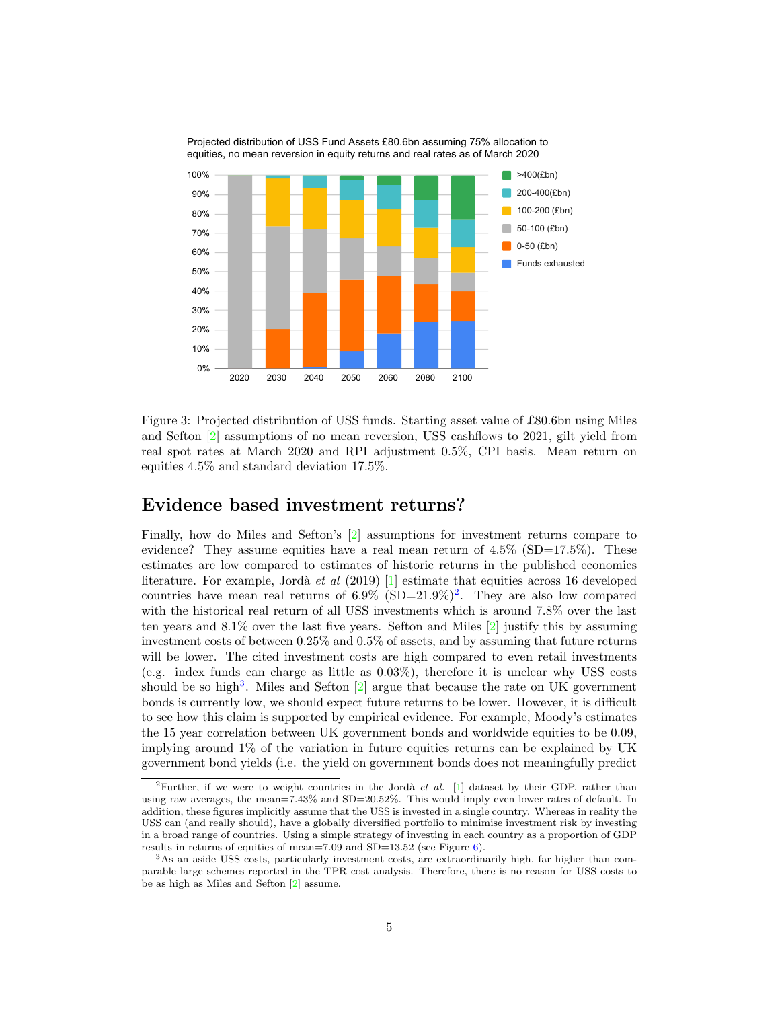

<span id="page-4-0"></span>Figure 3: Projected distribution of USS funds. Starting asset value of £80.6bn using Miles and Sefton [\[2\]](#page-9-0) assumptions of no mean reversion, USS cashflows to 2021, gilt yield from real spot rates at March 2020 and RPI adjustment 0.5%, CPI basis. Mean return on equities 4.5% and standard deviation 17.5%.

## Evidence based investment returns?

Finally, how do Miles and Sefton's [\[2\]](#page-9-0) assumptions for investment returns compare to evidence? They assume equities have a real mean return of  $4.5\%$  (SD=17.5%). These estimates are low compared to estimates of historic returns in the published economics literature. For example, Jordà et al  $(2019)$  [\[1\]](#page-9-1) estimate that equities across 16 developed countries have mean real returns of  $6.9\%$  (SD=[2](#page-4-1)1.9%)<sup>2</sup>. They are also low compared with the historical real return of all USS investments which is around 7.8% over the last ten years and 8.1% over the last five years. Sefton and Miles [\[2\]](#page-9-0) justify this by assuming investment costs of between 0.25% and 0.5% of assets, and by assuming that future returns will be lower. The cited investment costs are high compared to even retail investments (e.g. index funds can charge as little as 0.03%), therefore it is unclear why USS costs should be so high<sup>[3](#page-4-2)</sup>. Miles and Sefton  $[2]$  argue that because the rate on UK government bonds is currently low, we should expect future returns to be lower. However, it is difficult to see how this claim is supported by empirical evidence. For example, Moody's estimates the 15 year correlation between UK government bonds and worldwide equities to be 0.09, implying around 1% of the variation in future equities returns can be explained by UK government bond yields (i.e. the yield on government bonds does not meaningfully predict

<span id="page-4-1"></span><sup>&</sup>lt;sup>2</sup>Further, if we were to weight countries in the Jordà *et al.* [\[1\]](#page-9-1) dataset by their GDP, rather than using raw averages, the mean=7.43% and SD=20.52%. This would imply even lower rates of default. In addition, these figures implicitly assume that the USS is invested in a single country. Whereas in reality the USS can (and really should), have a globally diversified portfolio to minimise investment risk by investing in a broad range of countries. Using a simple strategy of investing in each country as a proportion of GDP results in returns of equities of mean=7.09 and SD=13.52 (see Figure [6\)](#page-6-0).

<span id="page-4-2"></span><sup>3</sup>As an aside USS costs, particularly investment costs, are extraordinarily high, far higher than comparable large schemes reported in the TPR cost analysis. Therefore, there is no reason for USS costs to be as high as Miles and Sefton [\[2\]](#page-9-0) assume.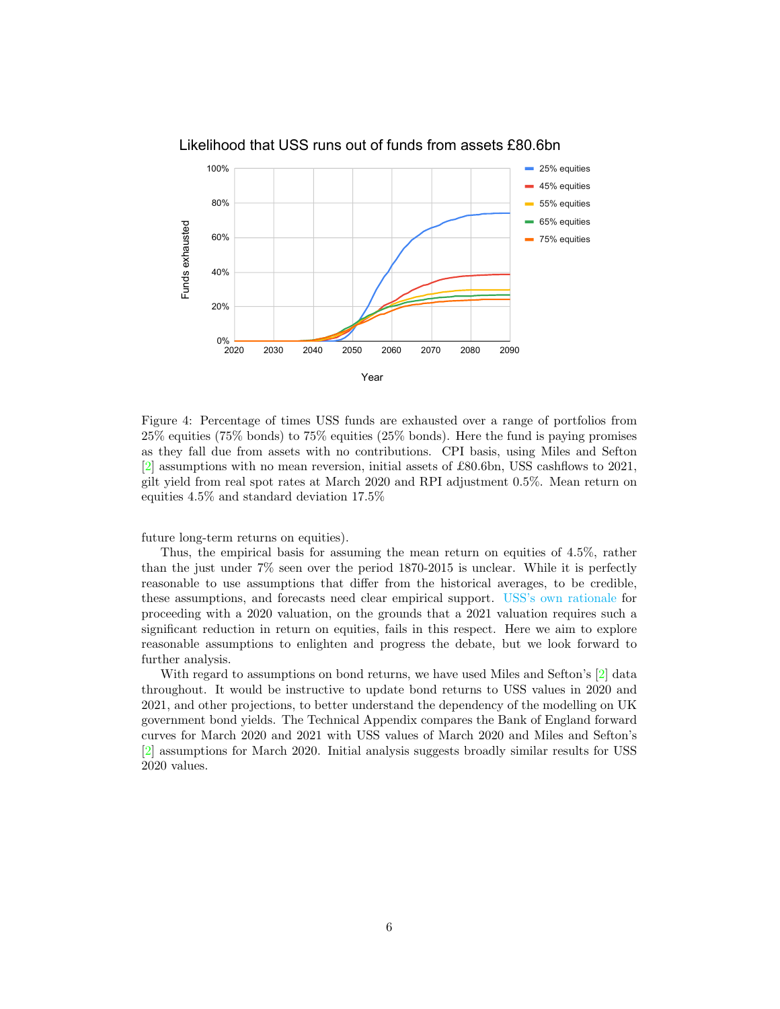

Likelihood that USS runs out of funds from assets £80.6bn

<span id="page-5-0"></span>Figure 4: Percentage of times USS funds are exhausted over a range of portfolios from 25% equities (75% bonds) to 75% equities (25% bonds). Here the fund is paying promises as they fall due from assets with no contributions. CPI basis, using Miles and Sefton [\[2\]](#page-9-0) assumptions with no mean reversion, initial assets of £80.6bn, USS cashflows to 2021, gilt yield from real spot rates at March 2020 and RPI adjustment 0.5%. Mean return on equities 4.5% and standard deviation 17.5%

future long-term returns on equities).

Thus, the empirical basis for assuming the mean return on equities of 4.5%, rather than the just under 7% seen over the period 1870-2015 is unclear. While it is perfectly reasonable to use assumptions that differ from the historical averages, to be credible, these assumptions, and forecasts need clear empirical support. [USS's own rationale](https://www.uss.co.uk/-/media/project/ussmainsite/files/about-us/valuations_yearly/2020-valuation/march-31-2020-valuation-date.pdf) for proceeding with a 2020 valuation, on the grounds that a 2021 valuation requires such a significant reduction in return on equities, fails in this respect. Here we aim to explore reasonable assumptions to enlighten and progress the debate, but we look forward to further analysis.

With regard to assumptions on bond returns, we have used Miles and Sefton's [\[2\]](#page-9-0) data throughout. It would be instructive to update bond returns to USS values in 2020 and 2021, and other projections, to better understand the dependency of the modelling on UK government bond yields. The Technical Appendix compares the Bank of England forward curves for March 2020 and 2021 with USS values of March 2020 and Miles and Sefton's [\[2\]](#page-9-0) assumptions for March 2020. Initial analysis suggests broadly similar results for USS 2020 values.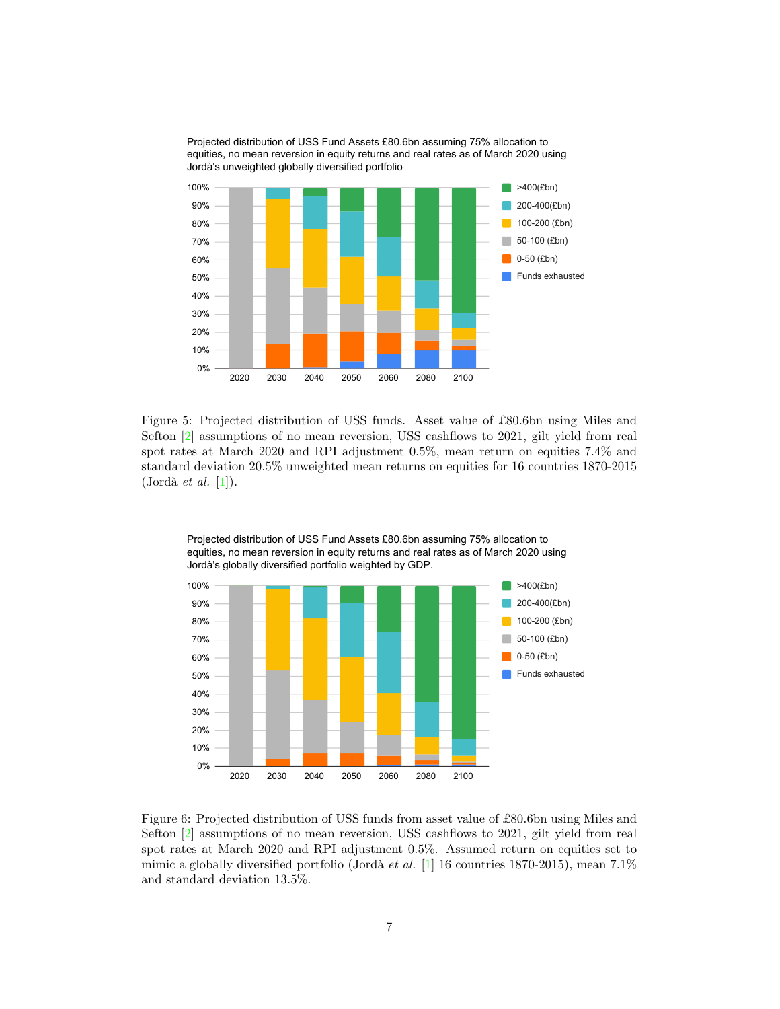Projected distribution of USS Fund Assets £80.6bn assuming 75% allocation to equities, no mean reversion in equity returns and real rates as of March 2020 using Jordà's unweighted globally diversified portfolio



Figure 5: Projected distribution of USS funds. Asset value of £80.6bn using Miles and Sefton [\[2\]](#page-9-0) assumptions of no mean reversion, USS cashflows to 2021, gilt yield from real spot rates at March 2020 and RPI adjustment 0.5%, mean return on equities 7.4% and standard deviation 20.5% unweighted mean returns on equities for 16 countries 1870-2015  $($ Jordà *et al.*  $[1]$ ).



equities, no mean reversion in equity returns and real rates as of March 2020 using Jordà's globally diversified portfolio weighted by GDP.

Projected distribution of USS Fund Assets £80.6bn assuming 75% allocation to

<span id="page-6-0"></span>Figure 6: Projected distribution of USS funds from asset value of £80.6bn using Miles and Sefton [\[2\]](#page-9-0) assumptions of no mean reversion, USS cashflows to 2021, gilt yield from real spot rates at March 2020 and RPI adjustment 0.5%. Assumed return on equities set to mimic a globally diversified portfolio (Jordà et al. [\[1\]](#page-9-1) 16 countries 1870-2015), mean 7.1% and standard deviation 13.5%.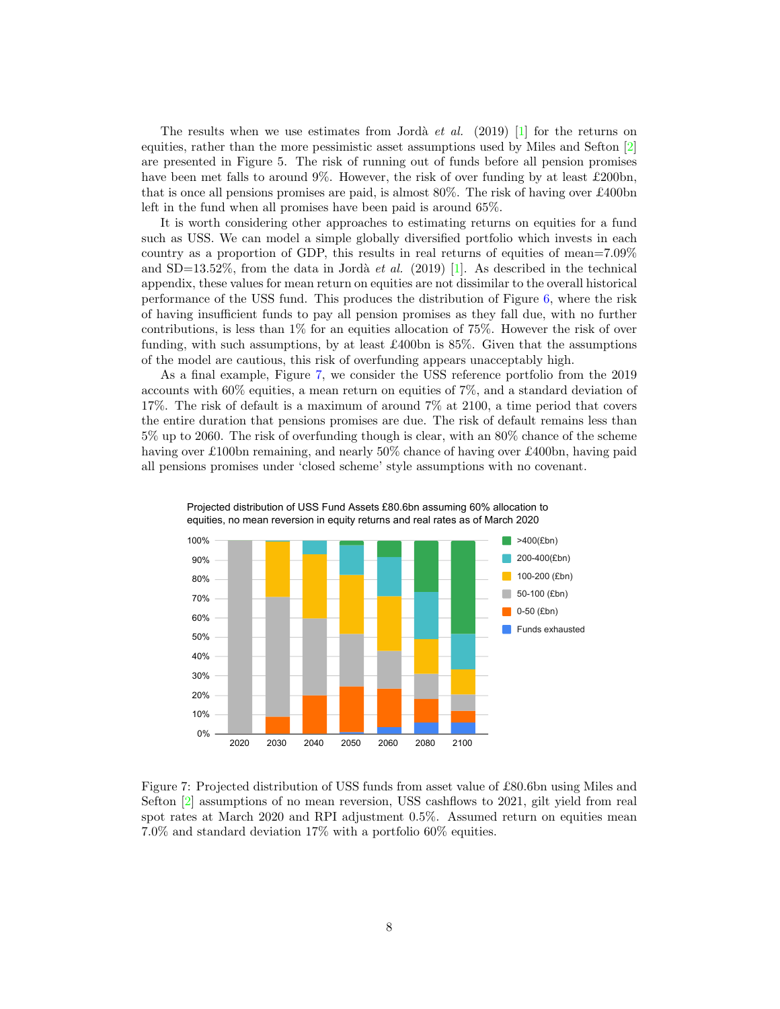The results when we use estimates from Jordà et al. (2019) [\[1\]](#page-9-1) for the returns on equities, rather than the more pessimistic asset assumptions used by Miles and Sefton  $\boxed{2}$ are presented in Figure 5. The risk of running out of funds before all pension promises have been met falls to around 9%. However, the risk of over funding by at least £200bn, that is once all pensions promises are paid, is almost 80%. The risk of having over £400bn left in the fund when all promises have been paid is around 65%.

It is worth considering other approaches to estimating returns on equities for a fund such as USS. We can model a simple globally diversified portfolio which invests in each country as a proportion of GDP, this results in real returns of equities of mean=7.09% and  $SD=13.52\%$ , from the data in Jordà *et al.* (2019) [\[1\]](#page-9-1). As described in the technical appendix, these values for mean return on equities are not dissimilar to the overall historical performance of the USS fund. This produces the distribution of Figure [6,](#page-6-0) where the risk of having insufficient funds to pay all pension promises as they fall due, with no further contributions, is less than 1% for an equities allocation of 75%. However the risk of over funding, with such assumptions, by at least £400bn is 85%. Given that the assumptions of the model are cautious, this risk of overfunding appears unacceptably high.

As a final example, Figure [7,](#page-7-0) we consider the USS reference portfolio from the 2019 accounts with 60% equities, a mean return on equities of 7%, and a standard deviation of 17%. The risk of default is a maximum of around 7% at 2100, a time period that covers the entire duration that pensions promises are due. The risk of default remains less than 5% up to 2060. The risk of overfunding though is clear, with an 80% chance of the scheme having over £100bn remaining, and nearly 50% chance of having over £400bn, having paid all pensions promises under 'closed scheme' style assumptions with no covenant.





<span id="page-7-0"></span>Figure 7: Projected distribution of USS funds from asset value of £80.6bn using Miles and Sefton [\[2\]](#page-9-0) assumptions of no mean reversion, USS cashflows to 2021, gilt yield from real spot rates at March 2020 and RPI adjustment 0.5%. Assumed return on equities mean 7.0% and standard deviation 17% with a portfolio 60% equities.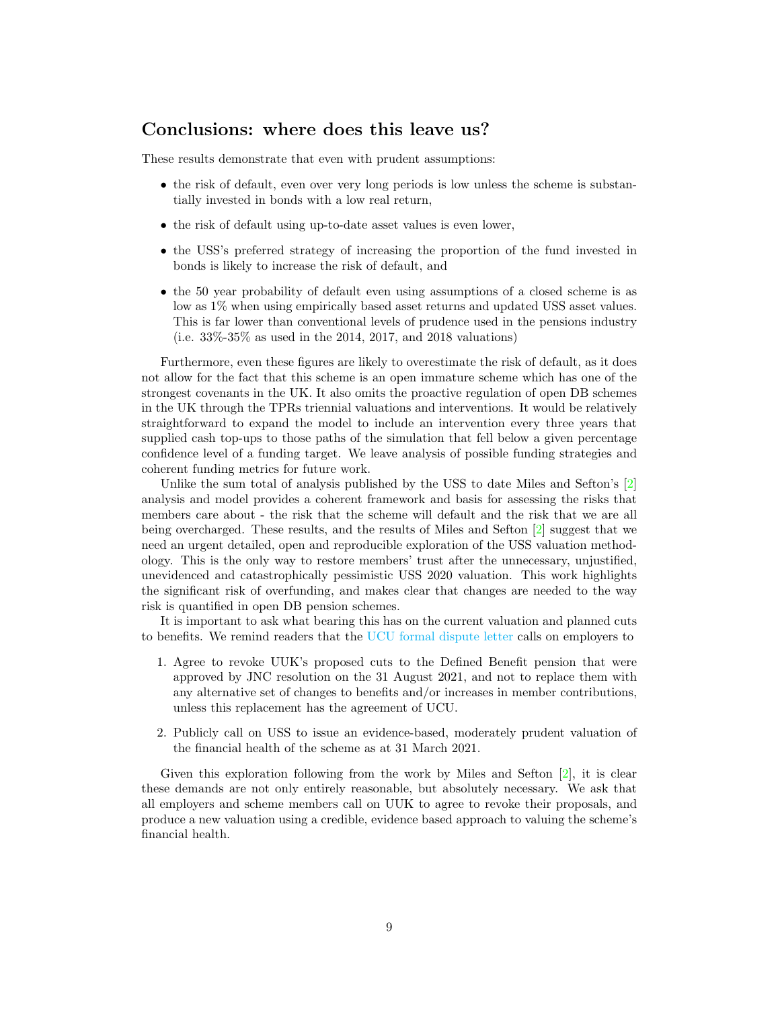# Conclusions: where does this leave us?

These results demonstrate that even with prudent assumptions:

- the risk of default, even over very long periods is low unless the scheme is substantially invested in bonds with a low real return,
- the risk of default using up-to-date asset values is even lower,
- the USS's preferred strategy of increasing the proportion of the fund invested in bonds is likely to increase the risk of default, and
- the 50 year probability of default even using assumptions of a closed scheme is as low as 1% when using empirically based asset returns and updated USS asset values. This is far lower than conventional levels of prudence used in the pensions industry (i.e. 33%-35% as used in the 2014, 2017, and 2018 valuations)

Furthermore, even these figures are likely to overestimate the risk of default, as it does not allow for the fact that this scheme is an open immature scheme which has one of the strongest covenants in the UK. It also omits the proactive regulation of open DB schemes in the UK through the TPRs triennial valuations and interventions. It would be relatively straightforward to expand the model to include an intervention every three years that supplied cash top-ups to those paths of the simulation that fell below a given percentage confidence level of a funding target. We leave analysis of possible funding strategies and coherent funding metrics for future work.

Unlike the sum total of analysis published by the USS to date Miles and Sefton's [\[2\]](#page-9-0) analysis and model provides a coherent framework and basis for assessing the risks that members care about - the risk that the scheme will default and the risk that we are all being overcharged. These results, and the results of Miles and Sefton [\[2\]](#page-9-0) suggest that we need an urgent detailed, open and reproducible exploration of the USS valuation methodology. This is the only way to restore members' trust after the unnecessary, unjustified, unevidenced and catastrophically pessimistic USS 2020 valuation. This work highlights the significant risk of overfunding, and makes clear that changes are needed to the way risk is quantified in open DB pension schemes.

It is important to ask what bearing this has on the current valuation and planned cuts to benefits. We remind readers that the [UCU formal dispute letter](https://www.ucu.org.uk/media/11768/USS-trade-dispute-2021/pdf/USS_trade_dispute_2021_Final_002.pdf?utm_source=Lyris&utm_medium=email&utm_campaign=reps&utm_term=broff-jnches-21-22&utm_content=UCU+trade+disputes+with+HE+employers) calls on employers to

- 1. Agree to revoke UUK's proposed cuts to the Defined Benefit pension that were approved by JNC resolution on the 31 August 2021, and not to replace them with any alternative set of changes to benefits and/or increases in member contributions, unless this replacement has the agreement of UCU.
- 2. Publicly call on USS to issue an evidence-based, moderately prudent valuation of the financial health of the scheme as at 31 March 2021.

Given this exploration following from the work by Miles and Sefton  $[2]$ , it is clear these demands are not only entirely reasonable, but absolutely necessary. We ask that all employers and scheme members call on UUK to agree to revoke their proposals, and produce a new valuation using a credible, evidence based approach to valuing the scheme's financial health.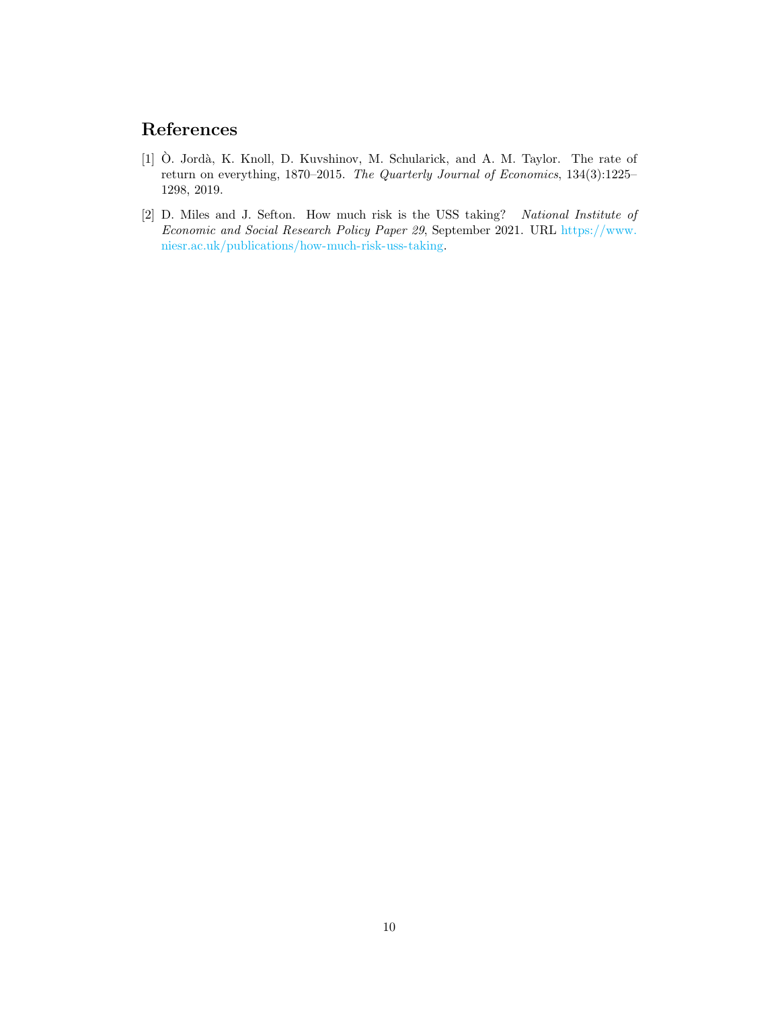# References

- <span id="page-9-1"></span>[1]  $\dot{O}$ . Jordà, K. Knoll, D. Kuvshinov, M. Schularick, and A. M. Taylor. The rate of return on everything, 1870–2015. The Quarterly Journal of Economics, 134(3):1225– 1298, 2019.
- <span id="page-9-0"></span>[2] D. Miles and J. Sefton. How much risk is the USS taking? National Institute of Economic and Social Research Policy Paper 29, September 2021. URL [https://www.](https://www.niesr.ac.uk/publications/how-much-risk-uss-taking) [niesr.ac.uk/publications/how-much-risk-uss-taking.](https://www.niesr.ac.uk/publications/how-much-risk-uss-taking)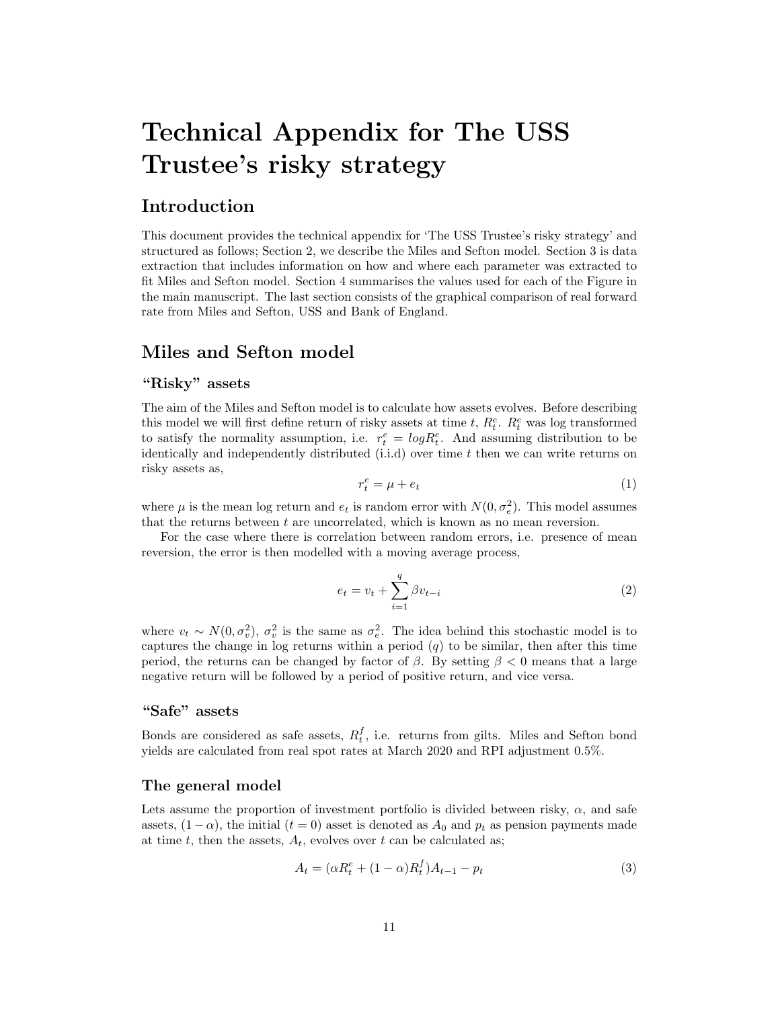# Technical Appendix for The USS Trustee's risky strategy

# Introduction

This document provides the technical appendix for 'The USS Trustee's risky strategy' and structured as follows; Section 2, we describe the Miles and Sefton model. Section 3 is data extraction that includes information on how and where each parameter was extracted to fit Miles and Sefton model. Section 4 summarises the values used for each of the Figure in the main manuscript. The last section consists of the graphical comparison of real forward rate from Miles and Sefton, USS and Bank of England.

# Miles and Sefton model

#### "Risky" assets

The aim of the Miles and Sefton model is to calculate how assets evolves. Before describing this model we will first define return of risky assets at time  $t, R_t^e$ .  $R_t^e$  was log transformed to satisfy the normality assumption, i.e.  $r_t^e = log R_t^e$ . And assuming distribution to be identically and independently distributed  $(i.i.d)$  over time t then we can write returns on risky assets as,

$$
r_t^e = \mu + e_t \tag{1}
$$

where  $\mu$  is the mean log return and  $e_t$  is random error with  $N(0, \sigma_e^2)$ . This model assumes that the returns between  $t$  are uncorrelated, which is known as no mean reversion.

For the case where there is correlation between random errors, i.e. presence of mean reversion, the error is then modelled with a moving average process,

$$
e_t = v_t + \sum_{i=1}^{q} \beta v_{t-i}
$$
 (2)

where  $v_t \sim N(0, \sigma_v^2)$ ,  $\sigma_v^2$  is the same as  $\sigma_e^2$ . The idea behind this stochastic model is to captures the change in log returns within a period  $(q)$  to be similar, then after this time period, the returns can be changed by factor of  $\beta$ . By setting  $\beta < 0$  means that a large negative return will be followed by a period of positive return, and vice versa.

### "Safe" assets

Bonds are considered as safe assets,  $R_t^f$ , i.e. returns from gilts. Miles and Sefton bond yields are calculated from real spot rates at March 2020 and RPI adjustment 0.5%.

#### The general model

Lets assume the proportion of investment portfolio is divided between risky,  $\alpha$ , and safe assets,  $(1 - \alpha)$ , the initial  $(t = 0)$  asset is denoted as  $A_0$  and  $p_t$  as pension payments made at time t, then the assets,  $A_t$ , evolves over t can be calculated as;

$$
A_t = (\alpha R_t^e + (1 - \alpha)R_t^f)A_{t-1} - p_t
$$
\n(3)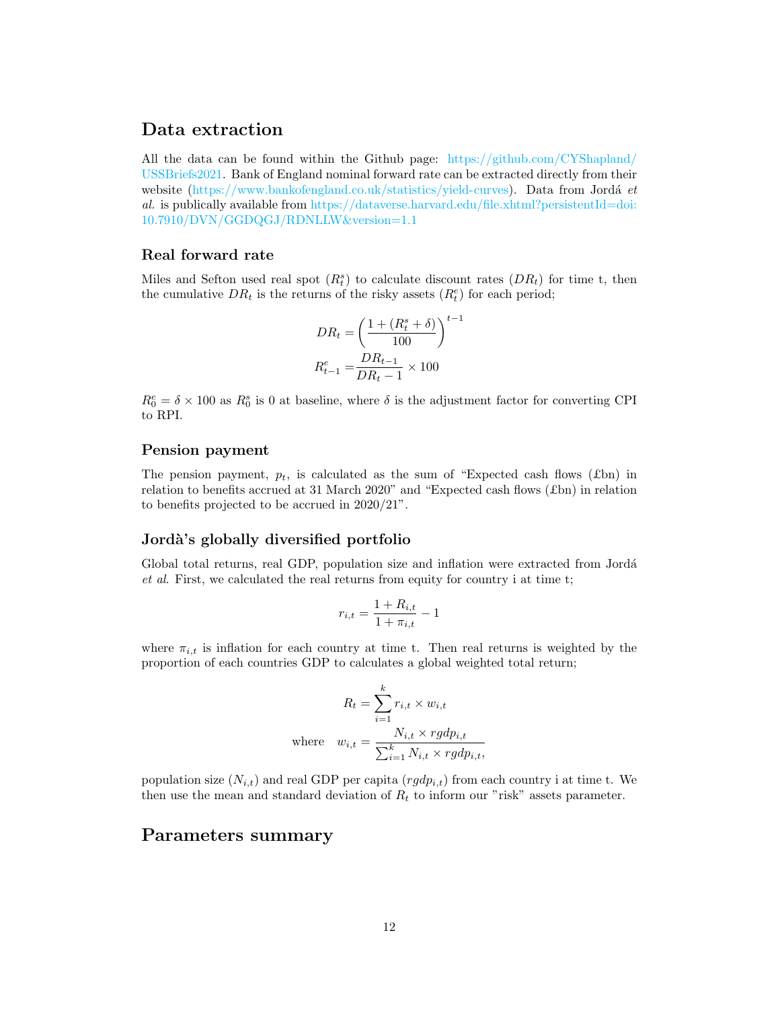## Data extraction

All the data can be found within the Github page: [https://github.com/CYShapland/](https://github.com/CYShapland/USSBriefs2021) [USSBriefs2021.](https://github.com/CYShapland/USSBriefs2021) Bank of England nominal forward rate can be extracted directly from their website [\(https://www.bankofengland.co.uk/statistics/yield-curves\)](https://www.bankofengland.co.uk/statistics/yield-curves). Data from Jordá et al. is publically available from [https://dataverse.harvard.edu/file.xhtml?persistentId=doi:](https://dataverse.harvard.edu/file.xhtml?persistentId=doi:10.7910/DVN/GGDQGJ/RDNLLW&version=1.1) [10.7910/DVN/GGDQGJ/RDNLLW&version=1.1](https://dataverse.harvard.edu/file.xhtml?persistentId=doi:10.7910/DVN/GGDQGJ/RDNLLW&version=1.1)

#### Real forward rate

Miles and Sefton used real spot  $(R_t^s)$  to calculate discount rates  $(DR_t)$  for time t, then the cumulative  $DR_t$  is the returns of the risky assets  $(R_t^e)$  for each period;

$$
DR_t = \left(\frac{1 + (R_t^s + \delta)}{100}\right)^{t-1}
$$

$$
R_{t-1}^e = \frac{DR_{t-1}}{DR_t - 1} \times 100
$$

 $R_0^e = \delta \times 100$  as  $R_0^s$  is 0 at baseline, where  $\delta$  is the adjustment factor for converting CPI to RPI.

#### Pension payment

The pension payment,  $p_t$ , is calculated as the sum of "Expected cash flows (£bn) in relation to benefits accrued at 31 March 2020" and "Expected cash flows  $(\text{\textsterling}bn)$  in relation to benefits projected to be accrued in 2020/21".

#### Jordà's globally diversified portfolio

Global total returns, real GDP, population size and inflation were extracted from Jordá et al. First, we calculated the real returns from equity for country i at time t;

$$
r_{i,t} = \frac{1 + R_{i,t}}{1 + \pi_{i,t}} - 1
$$

where  $\pi_{i,t}$  is inflation for each country at time t. Then real returns is weighted by the proportion of each countries GDP to calculates a global weighted total return;

$$
R_t = \sum_{i=1}^k r_{i,t} \times w_{i,t}
$$
  
where 
$$
w_{i,t} = \frac{N_{i,t} \times rgdp_{i,t}}{\sum_{i=1}^k N_{i,t} \times rgdp_{i,t}},
$$

population size  $(N_{i,t})$  and real GDP per capita  $(rgdp_{i,t})$  from each country i at time t. We then use the mean and standard deviation of  $R_t$  to inform our "risk" assets parameter.

## Parameters summary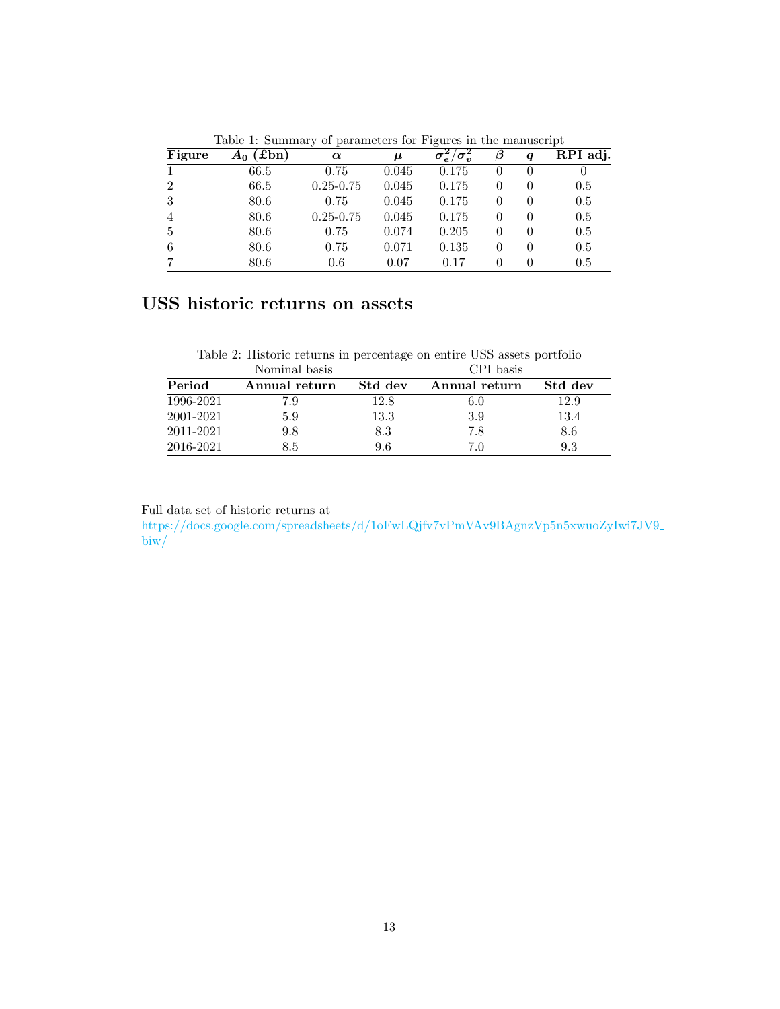| Figure         | $(\text{fbn})$<br>$A_0$ ' | $\cdot$<br><b>.</b><br>$\alpha$ | $\mu$ | $\checkmark$<br>$\sigma_e^2/\sigma_v^2$ | β        | q | RPI adj. |
|----------------|---------------------------|---------------------------------|-------|-----------------------------------------|----------|---|----------|
|                | 66.5                      | 0.75                            | 0.045 | 0.175                                   | 0        |   | O        |
| $\overline{2}$ | 66.5                      | $0.25 - 0.75$                   | 0.045 | 0.175                                   | $\theta$ |   | 0.5      |
| 3              | 80.6                      | 0.75                            | 0.045 | 0.175                                   | $\theta$ |   | 0.5      |
| $\overline{4}$ | 80.6                      | $0.25 - 0.75$                   | 0.045 | 0.175                                   | $\Omega$ |   | 0.5      |
| 5              | 80.6                      | 0.75                            | 0.074 | 0.205                                   | $\theta$ |   | 0.5      |
| 6              | 80.6                      | 0.75                            | 0.071 | 0.135                                   | $\theta$ |   | 0.5      |
|                | 80.6                      | 0.6                             | 0.07  | 0.17                                    | $\Omega$ |   | 0.5      |

Table 1: Summary of parameters for Figures in the manuscript

# USS historic returns on assets

| Table 2: Historic returns in percentage on entire USS assets portfolio |  |  |
|------------------------------------------------------------------------|--|--|
|                                                                        |  |  |

| Nominal basis |               |         | CPI basis     |         |  |  |
|---------------|---------------|---------|---------------|---------|--|--|
| Period        | Annual return | Std dev | Annual return | Std dev |  |  |
| 1996-2021     | 7.9           | 12.8    | 6.0           | 12.9    |  |  |
| 2001-2021     | 5.9           | 13.3    | 3.9           | 13.4    |  |  |
| 2011-2021     | 9.8           | 8.3     | 7.8           | 8.6     |  |  |
| 2016-2021     | 8.5           | 9.6     | 7.0           | 9.3     |  |  |

Full data set of historic returns at

[https://docs.google.com/spreadsheets/d/1oFwLQjfv7vPmVAv9BAgnzVp5n5xwuoZyIwi7J](https://docs.google.com/spreadsheets/d/1oFwLQjfv7vPmVAv9BAgnzVp5n5xwuoZyIwi7JV9_biw/)V9  $\overline{\text{biw}}$